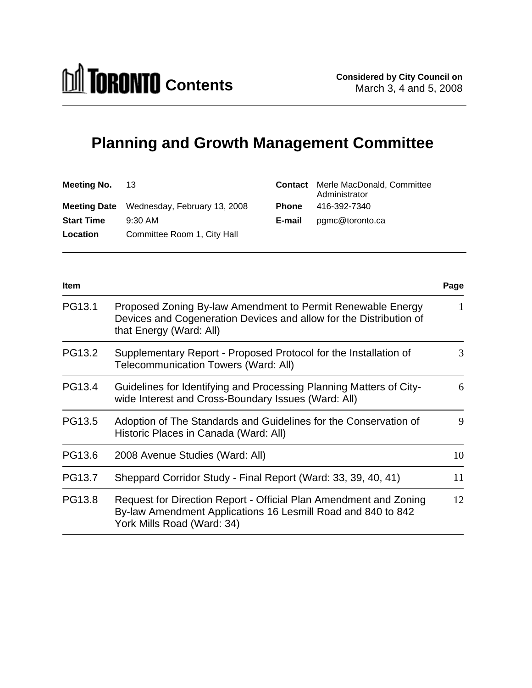# **Planning and Growth Management Committee**

| <b>Meeting No.</b> 13 |                                                  |              | <b>Contact</b> Merle MacDonald, Committee<br>Administrator |
|-----------------------|--------------------------------------------------|--------------|------------------------------------------------------------|
|                       | <b>Meeting Date</b> Wednesday, February 13, 2008 | <b>Phone</b> | 416-392-7340                                               |
| <b>Start Time</b>     | 9:30 AM                                          | E-mail       | pgmc@toronto.ca                                            |
| <b>Location</b>       | Committee Room 1, City Hall                      |              |                                                            |

| <b>Item</b> |                                                                                                                                                                 | Page |
|-------------|-----------------------------------------------------------------------------------------------------------------------------------------------------------------|------|
| PG13.1      | Proposed Zoning By-law Amendment to Permit Renewable Energy<br>Devices and Cogeneration Devices and allow for the Distribution of<br>that Energy (Ward: All)    | 1    |
| PG13.2      | Supplementary Report - Proposed Protocol for the Installation of<br>Telecommunication Towers (Ward: All)                                                        | 3    |
| PG13.4      | Guidelines for Identifying and Processing Planning Matters of City-<br>wide Interest and Cross-Boundary Issues (Ward: All)                                      | 6    |
| PG13.5      | Adoption of The Standards and Guidelines for the Conservation of<br>Historic Places in Canada (Ward: All)                                                       | 9    |
| PG13.6      | 2008 Avenue Studies (Ward: All)                                                                                                                                 | 10   |
| PG13.7      | Sheppard Corridor Study - Final Report (Ward: 33, 39, 40, 41)                                                                                                   | 11   |
| PG13.8      | Request for Direction Report - Official Plan Amendment and Zoning<br>By-law Amendment Applications 16 Lesmill Road and 840 to 842<br>York Mills Road (Ward: 34) | 12   |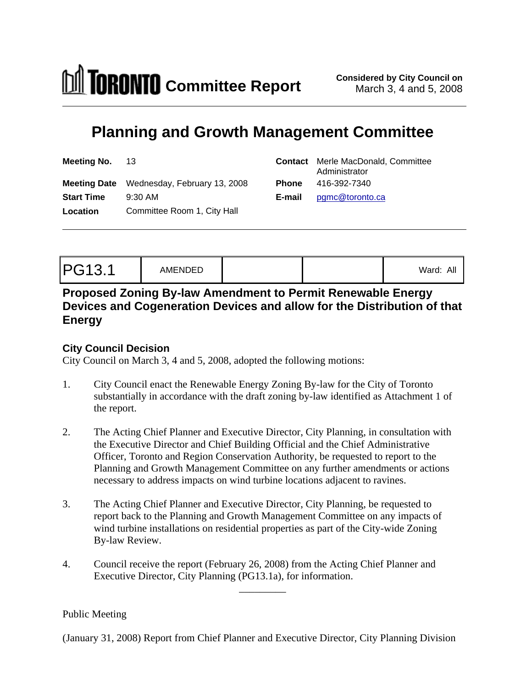

 $\frac{1}{2}$  ,  $\frac{1}{2}$  ,  $\frac{1}{2}$  ,  $\frac{1}{2}$  ,  $\frac{1}{2}$  ,  $\frac{1}{2}$  ,  $\frac{1}{2}$  ,  $\frac{1}{2}$  ,  $\frac{1}{2}$  ,  $\frac{1}{2}$  ,  $\frac{1}{2}$  ,  $\frac{1}{2}$  ,  $\frac{1}{2}$  ,  $\frac{1}{2}$  ,  $\frac{1}{2}$  ,  $\frac{1}{2}$  ,  $\frac{1}{2}$  ,  $\frac{1}{2}$  ,  $\frac{1$ 

# **Planning and Growth Management Committee**

| Meeting No. 13     |                                           | <b>Contact</b> Merle MacDonald, Committee<br>Administrator |  |  |  |  |
|--------------------|-------------------------------------------|------------------------------------------------------------|--|--|--|--|
|                    | Meeting Date Wednesday, February 13, 2008 | <b>Phone</b> 416-392-7340                                  |  |  |  |  |
| Start Time 9:30 AM |                                           | E-mail pgmc@toronto.ca                                     |  |  |  |  |
| Location           | Committee Room 1, City Hall               |                                                            |  |  |  |  |

# **Proposed Zoning By-law Amendment to Permit Renewable Energy Devices and Cogeneration Devices and allow for the Distribution of that Energy**

## **City Council Decision**

City Council on March 3, 4 and 5, 2008, adopted the following motions:

- 1. City Council enact the Renewable Energy Zoning By-law for the City of Toronto substantially in accordance with the draft zoning by-law identified as Attachment 1 of the report.
- 2. The Acting Chief Planner and Executive Director, City Planning, in consultation with the Executive Director and Chief Building Official and the Chief Administrative Officer, Toronto and Region Conservation Authority, be requested to report to the Planning and Growth Management Committee on any further amendments or actions necessary to address impacts on wind turbine locations adjacent to ravines.
- 3. The Acting Chief Planner and Executive Director, City Planning, be requested to report back to the Planning and Growth Management Committee on any impacts of wind turbine installations on residential properties as part of the City-wide Zoning By-law Review.
- 4. Council receive the report (February 26, 2008) from the Acting Chief Planner and Executive Director, City Planning (PG13.1a), for information.

Public Meeting

(January 31, 2008) Report from Chief Planner and Executive Director, City Planning Division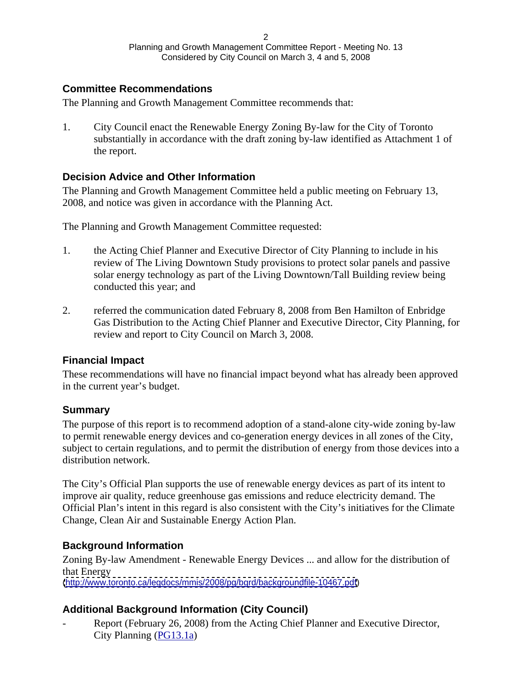## **Committee Recommendations**

The Planning and Growth Management Committee recommends that:

1. City Council enact the Renewable Energy Zoning By-law for the City of Toronto substantially in accordance with the draft zoning by-law identified as Attachment 1 of the report.

## **Decision Advice and Other Information**

The Planning and Growth Management Committee held a public meeting on February 13, 2008, and notice was given in accordance with the Planning Act.

The Planning and Growth Management Committee requested:

- 1. the Acting Chief Planner and Executive Director of City Planning to include in his review of The Living Downtown Study provisions to protect solar panels and passive solar energy technology as part of the Living Downtown/Tall Building review being conducted this year; and
- 2. referred the communication dated February 8, 2008 from Ben Hamilton of Enbridge Gas Distribution to the Acting Chief Planner and Executive Director, City Planning, for review and report to City Council on March 3, 2008.

## **Financial Impact**

These recommendations will have no financial impact beyond what has already been approved in the current year's budget.

## **Summary**

The purpose of this report is to recommend adoption of a stand-alone city-wide zoning by-law to permit renewable energy devices and co-generation energy devices in all zones of the City, subject to certain regulations, and to permit the distribution of energy from those devices into a distribution network.

The City's Official Plan supports the use of renewable energy devices as part of its intent to improve air quality, reduce greenhouse gas emissions and reduce electricity demand. The Official Plan's intent in this regard is also consistent with the City's initiatives for the Climate Change, Clean Air and Sustainable Energy Action Plan.

## **Background Information**

Zoning By-law Amendment - Renewable Energy Devices ... and allow for the distribution of that Energy [\(http://www.toronto.ca/legdocs/mmis/2008/pg/bgrd/backgroundfile-10467.pdf](http://www.toronto.ca/legdocs/mmis/2008/pg/bgrd/backgroundfile-10467.pdf))

# **Additional Background Information (City Council)**

Report (February 26, 2008) from the Acting Chief Planner and Executive Director, City Planning [\(PG13.1a](http://www.toronto.ca/legdocs/mmis/2008/cc/bgrd/pg13.1a.pdf))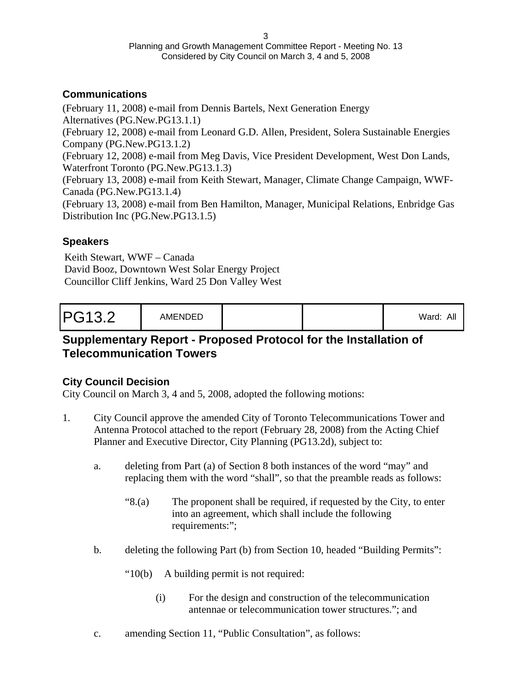# **Communications**

(February 11, 2008) e-mail from Dennis Bartels, Next Generation Energy Alternatives (PG.New.PG13.1.1) (February 12, 2008) e-mail from Leonard G.D. Allen, President, Solera Sustainable Energies Company (PG.New.PG13.1.2) (February 12, 2008) e-mail from Meg Davis, Vice President Development, West Don Lands, Waterfront Toronto (PG.New.PG13.1.3) (February 13, 2008) e-mail from Keith Stewart, Manager, Climate Change Campaign, WWF-Canada (PG.New.PG13.1.4) (February 13, 2008) e-mail from Ben Hamilton, Manager, Municipal Relations, Enbridge Gas Distribution Inc (PG.New.PG13.1.5)

## **Speakers**

Keith Stewart, WWF – Canada David Booz, Downtown West Solar Energy Project Councillor Cliff Jenkins, Ward 25 Don Valley West

| D <sub>C</sub> 122<br>.<br>- 1 | AMENDEL |  |  | Ward <sup>.</sup><br>All |
|--------------------------------|---------|--|--|--------------------------|
|--------------------------------|---------|--|--|--------------------------|

# **Supplementary Report - Proposed Protocol for the Installation of Telecommunication Towers**

# **City Council Decision**

City Council on March 3, 4 and 5, 2008, adopted the following motions:

- 1. City Council approve the amended City of Toronto Telecommunications Tower and Antenna Protocol attached to the report (February 28, 2008) from the Acting Chief Planner and Executive Director, City Planning (PG13.2d), subject to:
	- a. deleting from Part (a) of Section 8 both instances of the word "may" and replacing them with the word "shall", so that the preamble reads as follows:
		- "8.(a) The proponent shall be required, if requested by the City, to enter into an agreement, which shall include the following requirements:";
	- b. deleting the following Part (b) from Section 10, headed "Building Permits":
		- "10(b) A building permit is not required:
			- (i) For the design and construction of the telecommunication antennae or telecommunication tower structures."; and
	- c. amending Section 11, "Public Consultation", as follows: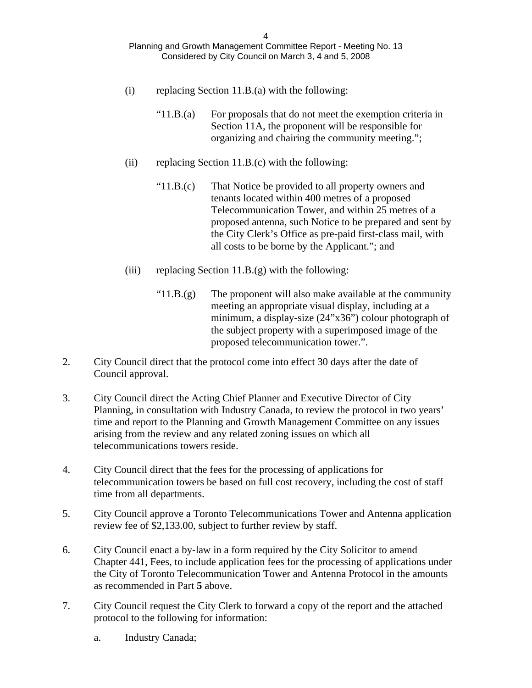- (i) replacing Section 11.B.(a) with the following:
	- "11.B.(a) For proposals that do not meet the exemption criteria in Section 11A, the proponent will be responsible for organizing and chairing the community meeting.";
- (ii) replacing Section 11.B.(c) with the following:
	- "11.B.(c) That Notice be provided to all property owners and tenants located within 400 metres of a proposed Telecommunication Tower, and within 25 metres of a proposed antenna, such Notice to be prepared and sent by the City Clerk's Office as pre-paid first-class mail, with all costs to be borne by the Applicant."; and
- (iii) replacing Section 11.B. $(g)$  with the following:
	- " $11.B.(g)$  The proponent will also make available at the community meeting an appropriate visual display, including at a minimum, a display-size (24"x36") colour photograph of the subject property with a superimposed image of the proposed telecommunication tower.".
- 2. City Council direct that the protocol come into effect 30 days after the date of Council approval.
- 3. City Council direct the Acting Chief Planner and Executive Director of City Planning, in consultation with Industry Canada, to review the protocol in two years' time and report to the Planning and Growth Management Committee on any issues arising from the review and any related zoning issues on which all telecommunications towers reside.
- 4. City Council direct that the fees for the processing of applications for telecommunication towers be based on full cost recovery, including the cost of staff time from all departments.
- 5. City Council approve a Toronto Telecommunications Tower and Antenna application review fee of \$2,133.00, subject to further review by staff.
- 6. City Council enact a by-law in a form required by the City Solicitor to amend Chapter 441, Fees, to include application fees for the processing of applications under the City of Toronto Telecommunication Tower and Antenna Protocol in the amounts as recommended in Part **5** above.
- 7. City Council request the City Clerk to forward a copy of the report and the attached protocol to the following for information:
	- a. Industry Canada;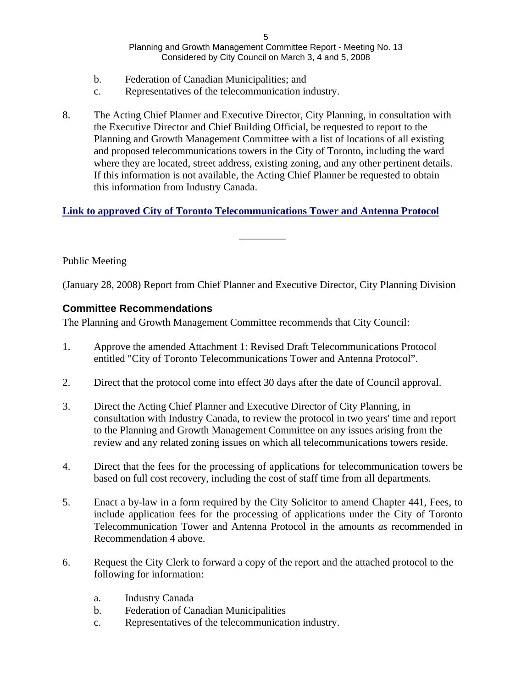- b. Federation of Canadian Municipalities; and
- c. Representatives of the telecommunication industry.
- 8. The Acting Chief Planner and Executive Director, City Planning, in consultation with the Executive Director and Chief Building Official, be requested to report to the Planning and Growth Management Committee with a list of locations of all existing and proposed telecommunications towers in the City of Toronto, including the ward where they are located, street address, existing zoning, and any other pertinent details. If this information is not available, the Acting Chief Planner be requested to obtain this information from Industry Canada.

## **[Link to approved City of Toronto Telecommunications Tower and Antenna Protocol](http://www.toronto.ca/legdocs/mmis/2008/cc/bgrd/pg13.2att.pdf)**

Public Meeting

(January 28, 2008) Report from Chief Planner and Executive Director, City Planning Division

 $\frac{1}{2}$  , and the contract of the contract of the contract of the contract of the contract of the contract of

## **Committee Recommendations**

The Planning and Growth Management Committee recommends that City Council:

- 1. Approve the amended Attachment 1: Revised Draft Telecommunications Protocol entitled "City of Toronto Telecommunications Tower and Antenna Protocol".
- 2. Direct that the protocol come into effect 30 days after the date of Council approval.
- 3. Direct the Acting Chief Planner and Executive Director of City Planning, in consultation with Industry Canada, to review the protocol in two years' time and report to the Planning and Growth Management Committee on any issues arising from the review and any related zoning issues on which all telecommunications towers reside.
- 4. Direct that the fees for the processing of applications for telecommunication towers be based on full cost recovery, including the cost of staff time from all departments.
- 5. Enact a by-law in a form required by the City Solicitor to amend Chapter 441, Fees, to include application fees for the processing of applications under the City of Toronto Telecommunication Tower and Antenna Protocolin the amounts *as* recommended in Recommendation 4 above.
- 6. Request the City Clerk to forward a copy of the report and the attached protocol to the following for information:
	- a. Industry Canada
	- b. Federation of Canadian Municipalities
	- c. Representatives of the telecommunication industry.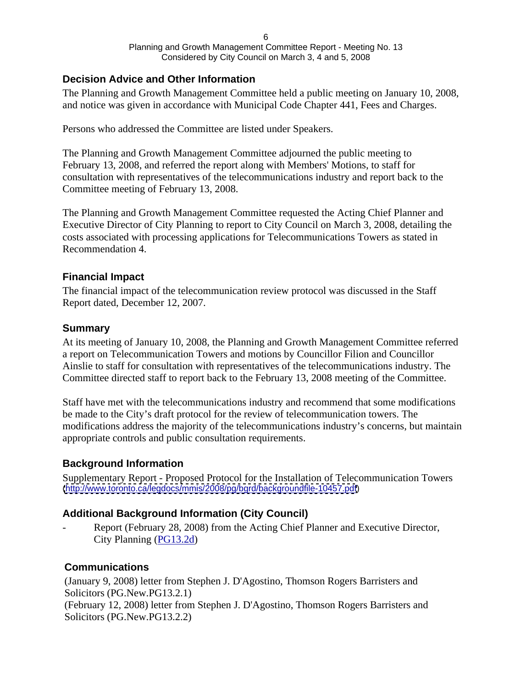## **Decision Advice and Other Information**

The Planning and Growth Management Committee held a public meeting on January 10, 2008, and notice was given in accordance with Municipal Code Chapter 441, Fees and Charges.

Persons who addressed the Committee are listed under Speakers.

The Planning and Growth Management Committee adjourned the public meeting to February 13, 2008, and referred the report along with Members' Motions, to staff for consultation with representatives of the telecommunications industry and report back to the Committee meeting of February 13, 2008.

The Planning and Growth Management Committee requested the Acting Chief Planner and Executive Director of City Planning to report to City Council on March 3, 2008, detailing the costs associated with processing applications for Telecommunications Towers as stated in Recommendation 4.

## **Financial Impact**

The financial impact of the telecommunication review protocol was discussed in the Staff Report dated, December 12, 2007.

## **Summary**

At its meeting of January 10, 2008, the Planning and Growth Management Committee referred a report on Telecommunication Towers and motions by Councillor Filion and Councillor Ainslie to staff for consultation with representatives of the telecommunications industry. The Committee directed staff to report back to the February 13, 2008 meeting of the Committee.

Staff have met with the telecommunications industry and recommend that some modifications be made to the City's draft protocol for the review of telecommunication towers. The modifications address the majority of the telecommunications industry's concerns, but maintain appropriate controls and public consultation requirements.

## **Background Information**

Supplementary Report - Proposed Protocol for the Installation of Telecommunication Towers [\(http://www.toronto.ca/legdocs/mmis/2008/pg/bgrd/backgroundfile-10457.pdf](http://www.toronto.ca/legdocs/mmis/2008/pg/bgrd/backgroundfile-10457.pdf))

## **Additional Background Information (City Council)**

Report (February 28, 2008) from the Acting Chief Planner and Executive Director, City Planning [\(PG13.2d\)](http://www.toronto.ca/legdocs/mmis/2008/cc/bgrd/pg13.2d.pdf)

## **Communications**

(January 9, 2008) letter from Stephen J. D'Agostino, Thomson Rogers Barristers and Solicitors (PG.New.PG13.2.1) (February 12, 2008) letter from Stephen J. D'Agostino, Thomson Rogers Barristers and Solicitors (PG.New.PG13.2.2)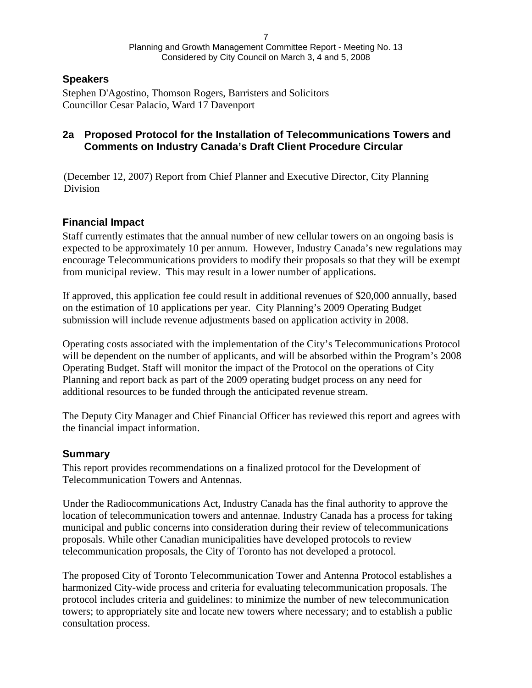## **Speakers**

Stephen D'Agostino, Thomson Rogers, Barristers and Solicitors Councillor Cesar Palacio, Ward 17 Davenport

## **2a Proposed Protocol for the Installation of Telecommunications Towers and Comments on Industry Canada's Draft Client Procedure Circular**

(December 12, 2007) Report from Chief Planner and Executive Director, City Planning Division **Division** 

## **Financial Impact**

Staff currently estimates that the annual number of new cellular towers on an ongoing basis is expected to be approximately 10 per annum. However, Industry Canada's new regulations may encourage Telecommunications providers to modify their proposals so that they will be exempt from municipal review. This may result in a lower number of applications.

If approved, this application fee could result in additional revenues of \$20,000 annually, based on the estimation of 10 applications per year. City Planning's 2009 Operating Budget submission will include revenue adjustments based on application activity in 2008.

Operating costs associated with the implementation of the City's Telecommunications Protocol will be dependent on the number of applicants, and will be absorbed within the Program's 2008 Operating Budget. Staff will monitor the impact of the Protocol on the operations of City Planning and report back as part of the 2009 operating budget process on any need for additional resources to be funded through the anticipated revenue stream.

The Deputy City Manager and Chief Financial Officer has reviewed this report and agrees with the financial impact information.

## **Summary**

This report provides recommendations on a finalized protocol for the Development of Telecommunication Towers and Antennas.

Under the Radiocommunications Act, Industry Canada has the final authority to approve the location of telecommunication towers and antennae. Industry Canada has a process for taking municipal and public concerns into consideration during their review of telecommunications proposals. While other Canadian municipalities have developed protocols to review telecommunication proposals, the City of Toronto has not developed a protocol.

The proposed City of Toronto Telecommunication Tower and Antenna Protocol establishes a harmonized City-wide process and criteria for evaluating telecommunication proposals. The protocol includes criteria and guidelines: to minimize the number of new telecommunication towers; to appropriately site and locate new towers where necessary; and to establish a public consultation process.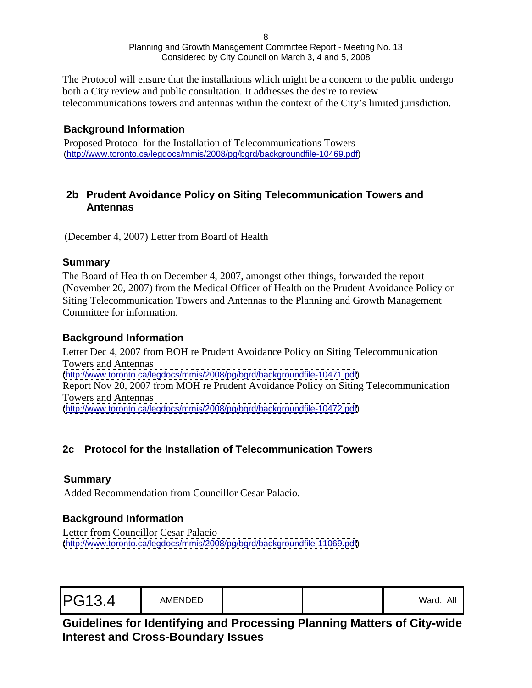The Protocol will ensure that the installations which might be a concern to the public undergo both a City review and public consultation. It addresses the desire to review telecommunications towers and antennas within the context of the City's limited jurisdiction.

## **Background Information**

Proposed Protocol for the Installation of Telecommunications Towers ([http://www.toronto.ca/legdocs/mmis/2008/pg/bgrd/backgroundfile-10469.pdf\)](http://www.toronto.ca/legdocs/mmis/2008/pg/bgrd/backgroundfile-10469.pdf)

## **2b Prudent Avoidance Policy on Siting Telecommunication Towers and Antennas**

(December 4, 2007) Letter from Board of Health

## **Summary**

The Board of Health on December 4, 2007, amongst other things, forwarded the report (November 20, 2007) from the Medical Officer of Health on the Prudent Avoidance Policy on Siting Telecommunication Towers and Antennas to the Planning and Growth Management Committee for information.

## **Background Information**

Letter Dec 4, 2007 from BOH re Prudent Avoidance Policy on Siting Telecommunication Towers and Antennas [\(http://www.toronto.ca/legdocs/mmis/2008/pg/bgrd/backgroundfile-10471.pdf](http://www.toronto.ca/legdocs/mmis/2008/pg/bgrd/backgroundfile-10471.pdf)) Report Nov 20, 2007 from MOH re Prudent Avoidance Policy on Siting Telecommunication Towers and Antennas [\(http://www.toronto.ca/legdocs/mmis/2008/pg/bgrd/backgroundfile-10472.pdf](http://www.toronto.ca/legdocs/mmis/2008/pg/bgrd/backgroundfile-10472.pdf))

# **2c Protocol for the Installation of Telecommunication Towers**

## **Summary**

Added Recommendation from Councillor Cesar Palacio.

# **Background Information**

Letter from Councillor Cesar Palacio [\(http://www.toronto.ca/legdocs/mmis/2008/pg/bgrd/backgroundfile-11069.pdf](http://www.toronto.ca/legdocs/mmis/2008/pg/bgrd/backgroundfile-11069.pdf))

# **Guidelines for Identifying and Processing Planning Matters of City-wide Interest and Cross-Boundary Issues**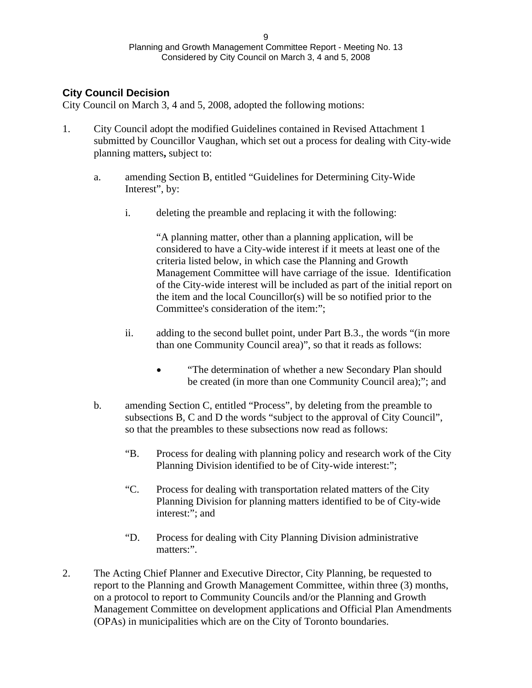## **City Council Decision**

City Council on March 3, 4 and 5, 2008, adopted the following motions:

- 1. City Council adopt the modified Guidelines contained in Revised Attachment 1 submitted by Councillor Vaughan, which set out a process for dealing with City-wide planning matters**,** subject to:
	- a. amending Section B, entitled "Guidelines for Determining City-Wide Interest", by:
		- i. deleting the preamble and replacing it with the following:

"A planning matter, other than a planning application, will be considered to have a City-wide interest if it meets at least one of the criteria listed below, in which case the Planning and Growth Management Committee will have carriage of the issue. Identification of the City-wide interest will be included as part of the initial report on the item and the local Councillor(s) will be so notified prior to the Committee's consideration of the item:";

- ii. adding to the second bullet point, under Part B.3., the words "(in more than one Community Council area)", so that it reads as follows:
	- "The determination of whether a new Secondary Plan should  $\bullet$ be created (in more than one Community Council area);"; and
- b. amending Section C, entitled "Process", by deleting from the preamble to subsections B, C and D the words "subject to the approval of City Council", so that the preambles to these subsections now read as follows:
	- "B. Process for dealing with planning policy and research work of the City Planning Division identified to be of City-wide interest:";
	- "C. Process for dealing with transportation related matters of the City Planning Division for planning matters identified to be of City-wide interest:"; and
	- "D. Process for dealing with City Planning Division administrative matters:".
- 2. The Acting Chief Planner and Executive Director, City Planning, be requested to report to the Planning and Growth Management Committee, within three (3) months, on a protocol to report to Community Councils and/or the Planning and Growth Management Committee on development applications and Official Plan Amendments (OPAs) in municipalities which are on the City of Toronto boundaries.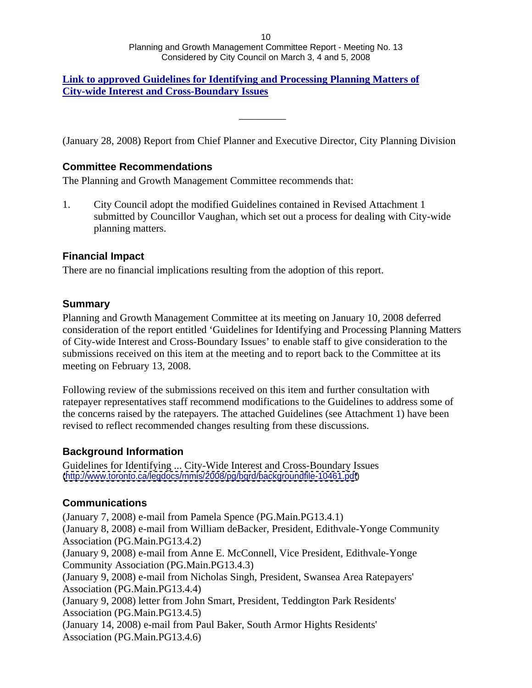### **[Link to approved Guidelines for Identifying and Processing Planning Matters of](http://www.toronto.ca/legdocs/mmis/2008/cc/bgrd/pg13.4att.pdf)  City-wide Interest and Cross-Boundary Issues**

(January 28, 2008) Report from Chief Planner and Executive Director, City Planning Division

 $\frac{1}{2}$  , and the contract of the contract of the contract of the contract of the contract of the contract of

## **Committee Recommendations**

The Planning and Growth Management Committee recommends that:

1. City Council adopt the modified Guidelines contained in Revised Attachment 1 submitted by Councillor Vaughan, which set out a process for dealing with City-wide planning matters.

## **Financial Impact**

There are no financial implications resulting from the adoption of this report.

## **Summary**

Planning and Growth Management Committee at its meeting on January 10, 2008 deferred consideration of the report entitled 'Guidelines for Identifying and Processing Planning Matters of City-wide Interest and Cross-Boundary Issues' to enable staff to give consideration to the submissions received on this item at the meeting and to report back to the Committee at its meeting on February 13, 2008.

Following review of the submissions received on this item and further consultation with ratepayer representatives staff recommend modifications to the Guidelines to address some of the concerns raised by the ratepayers. The attached Guidelines (see Attachment 1) have been revised to reflect recommended changes resulting from these discussions.

## **Background Information**

Guidelines for Identifying ... City-Wide Interest and Cross-Boundary Issues [\(http://www.toronto.ca/legdocs/mmis/2008/pg/bgrd/backgroundfile-10461.pdf](http://www.toronto.ca/legdocs/mmis/2008/pg/bgrd/backgroundfile-10461.pdf))

## **Communications**

(January 7, 2008) e-mail from Pamela Spence (PG.Main.PG13.4.1) (January 8, 2008) e-mail from William deBacker, President, Edithvale-Yonge Community Association (PG.Main.PG13.4.2) (January 9, 2008) e-mail from Anne E. McConnell, Vice President, Edithvale-Yonge Community Association (PG.Main.PG13.4.3) (January 9, 2008) e-mail from Nicholas Singh, President, Swansea Area Ratepayers' Association (PG.Main.PG13.4.4) (January 9, 2008) letter from John Smart, President, Teddington Park Residents' Association (PG.Main.PG13.4.5) (January 14, 2008) e-mail from Paul Baker, South Armor Hights Residents' Association (PG.Main.PG13.4.6)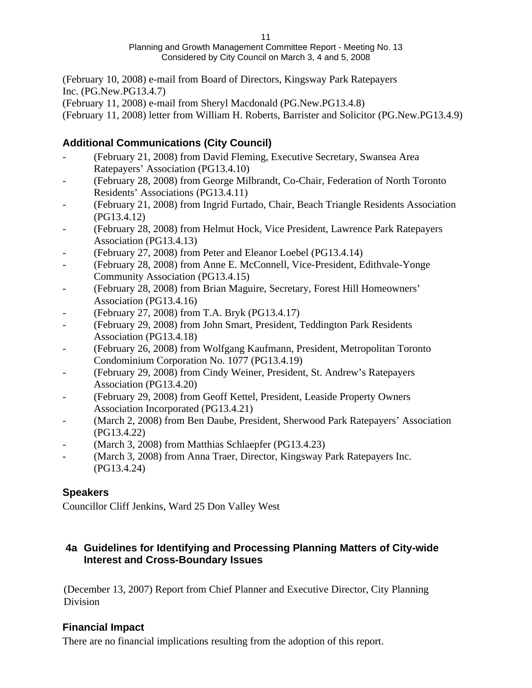(February 10, 2008) e-mail from Board of Directors, Kingsway Park Ratepayers Inc. (PG.New.PG13.4.7)

(February 11, 2008) e-mail from Sheryl Macdonald (PG.New.PG13.4.8)

(February 11, 2008) letter from William H. Roberts, Barrister and Solicitor (PG.New.PG13.4.9)

# **Additional Communications (City Council)**

- (February 21, 2008) from David Fleming, Executive Secretary, Swansea Area Ratepayers' Association (PG13.4.10)
- (February 28, 2008) from George Milbrandt, Co-Chair, Federation of North Toronto Residents' Associations (PG13.4.11)
- (February 21, 2008) from Ingrid Furtado, Chair, Beach Triangle Residents Association (PG13.4.12)
- (February 28, 2008) from Helmut Hock, Vice President, Lawrence Park Ratepayers Association (PG13.4.13)
- (February 27, 2008) from Peter and Eleanor Loebel (PG13.4.14)
- (February 28, 2008) from Anne E. McConnell, Vice-President, Edithvale-Yonge Community Association (PG13.4.15)
- (February 28, 2008) from Brian Maguire, Secretary, Forest Hill Homeowners' Association (PG13.4.16)
- (February 27, 2008) from T.A. Bryk (PG13.4.17)
- (February 29, 2008) from John Smart, President, Teddington Park Residents Association (PG13.4.18)
- (February 26, 2008) from Wolfgang Kaufmann, President, Metropolitan Toronto Condominium Corporation No. 1077 (PG13.4.19)
- (February 29, 2008) from Cindy Weiner, President, St. Andrew's Ratepayers Association (PG13.4.20)
- (February 29, 2008) from Geoff Kettel, President, Leaside Property Owners Association Incorporated (PG13.4.21)
- (March 2, 2008) from Ben Daube, President, Sherwood Park Ratepayers' Association (PG13.4.22)
- (March 3, 2008) from Matthias Schlaepfer (PG13.4.23)
- (March 3, 2008) from Anna Traer, Director, Kingsway Park Ratepayers Inc. (PG13.4.24)

# **Speakers**

Councillor Cliff Jenkins, Ward 25 Don Valley West

# **4a Guidelines for Identifying and Processing Planning Matters of City-wide Interest and Cross-Boundary Issues**

(December 13, 2007) Report from Chief Planner and Executive Director, City Planning Division **Division** 

# **Financial Impact**

There are no financial implications resulting from the adoption of this report.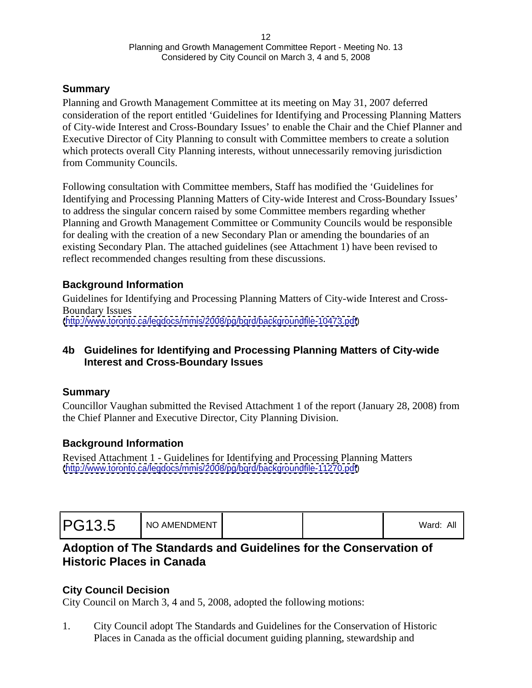## **Summary**

Planning and Growth Management Committee at its meeting on May 31, 2007 deferred consideration of the report entitled 'Guidelines for Identifying and Processing Planning Matters of City-wide Interest and Cross-Boundary Issues' to enable the Chair and the Chief Planner and Executive Director of City Planning to consult with Committee members to create a solution which protects overall City Planning interests, without unnecessarily removing jurisdiction from Community Councils.

Following consultation with Committee members, Staff has modified the 'Guidelines for Identifying and Processing Planning Matters of City-wide Interest and Cross-Boundary Issues' to address the singular concern raised by some Committee members regarding whether Planning and Growth Management Committee or Community Councils would be responsible for dealing with the creation of a new Secondary Plan or amending the boundaries of an existing Secondary Plan. The attached guidelines (see Attachment 1) have been revised to reflect recommended changes resulting from these discussions.

## **Background Information**

Guidelines for Identifying and Processing Planning Matters of City-wide Interest and Cross- Boundary Issues [\(http://www.toronto.ca/legdocs/mmis/2008/pg/bgrd/backgroundfile-10473.pdf](http://www.toronto.ca/legdocs/mmis/2008/pg/bgrd/backgroundfile-10473.pdf))

## **4b Guidelines for Identifying and Processing Planning Matters of City-wide Interest and Cross-Boundary Issues**

## **Summary**

Councillor Vaughan submitted the Revised Attachment 1 of the report (January 28, 2008) from the Chief Planner and Executive Director, City Planning Division.

## **Background Information**

Revised Attachment 1 - Guidelines for Identifying and Processing Planning Matters [\(http://www.toronto.ca/legdocs/mmis/2008/pg/bgrd/backgroundfile-11270.pdf](http://www.toronto.ca/legdocs/mmis/2008/pg/bgrd/backgroundfile-11270.pdf))

| PG13.5<br>NO AMENDMENT |  |  | .<br>$\sim$ 11<br>_Ward |  |
|------------------------|--|--|-------------------------|--|
|------------------------|--|--|-------------------------|--|

# **Adoption of The Standards and Guidelines for the Conservation of Historic Places in Canada**

## **City Council Decision**

City Council on March 3, 4 and 5, 2008, adopted the following motions:

1. City Council adopt The Standards and Guidelines for the Conservation of Historic Places in Canada as the official document guiding planning, stewardship and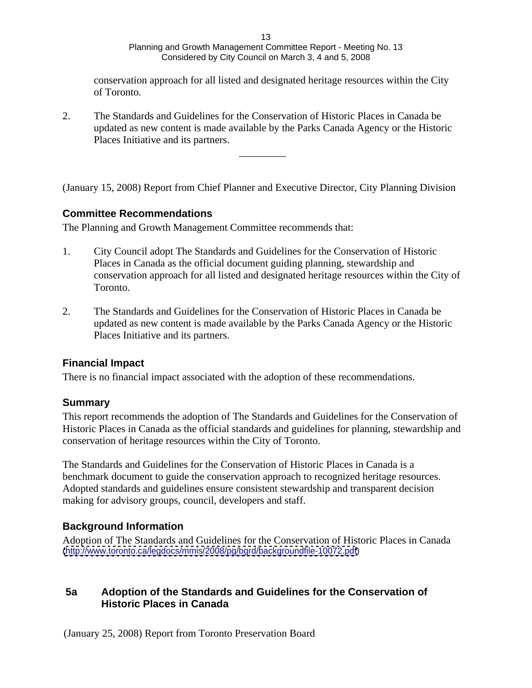conservation approach for all listed and designated heritage resources within the City of Toronto.

 $\frac{1}{2}$  , and the contract of the contract of the contract of the contract of the contract of the contract of

2. The Standards and Guidelines for the Conservation of Historic Places in Canada be updated as new content is made available by the Parks Canada Agency or the Historic Places Initiative and its partners.

(January 15, 2008) Report from Chief Planner and Executive Director, City Planning Division

## **Committee Recommendations**

The Planning and Growth Management Committee recommends that:

- 1. City Council adopt The Standards and Guidelines for the Conservation of Historic Places in Canada as the official document guiding planning, stewardship and conservation approach for all listed and designated heritage resources within the City of Toronto.
- 2. The Standards and Guidelines for the Conservation of Historic Places in Canada be updated as new content is made available by the Parks Canada Agency or the Historic Places Initiative and its partners.

## **Financial Impact**

There is no financial impact associated with the adoption of these recommendations.

#### **Summary**

This report recommends the adoption of The Standards and Guidelines for the Conservation of Historic Places in Canada as the official standards and guidelines for planning, stewardship and conservation of heritage resources within the City of Toronto.

The Standards and Guidelines for the Conservation of Historic Places in Canada is a benchmark document to guide the conservation approach to recognized heritage resources. Adopted standards and guidelines ensure consistent stewardship and transparent decision making for advisory groups, council, developers and staff.

## **Background Information**

Adoption of The Standards and Guidelines for the Conservation of Historic Places in Canada [\(http://www.toronto.ca/legdocs/mmis/2008/pg/bgrd/backgroundfile-10072.pdf](http://www.toronto.ca/legdocs/mmis/2008/pg/bgrd/backgroundfile-10072.pdf))

## **5a Adoption of the Standards and Guidelines for the Conservation of Historic Places in Canada**

(January 25, 2008) Report from Toronto Preservation Board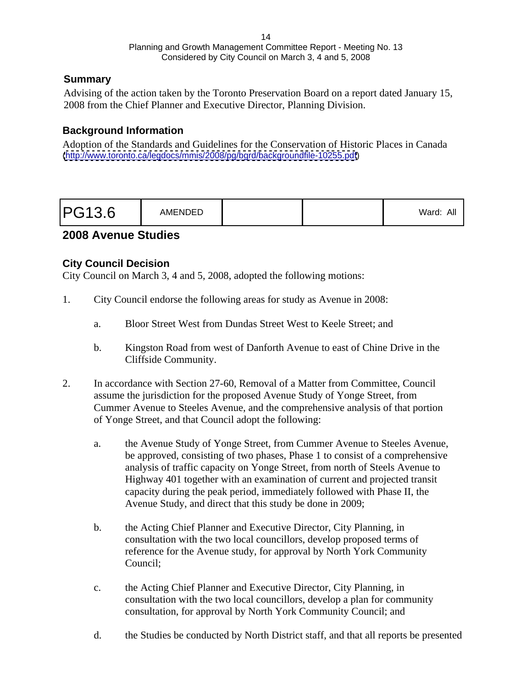## **Summary**

Advising of the action taken by the Toronto Preservation Board on a report dated January 15, 2008 from the Chief Planner and Executive Director, Planning Division.

## **Background Information**

Adoption of the Standards and Guidelines for the Conservation of Historic Places in Canada [\(http://www.toronto.ca/legdocs/mmis/2008/pg/bgrd/backgroundfile-10255.pdf](http://www.toronto.ca/legdocs/mmis/2008/pg/bgrd/backgroundfile-10255.pdf))

## **2008 Avenue Studies**

## **City Council Decision**

City Council on March 3, 4 and 5, 2008, adopted the following motions:

- 1. City Council endorse the following areas for study as Avenue in 2008:
	- a. Bloor Street West from Dundas Street West to Keele Street; and
	- b. Kingston Road from west of Danforth Avenue to east of Chine Drive in the Cliffside Community.
- 2. In accordance with Section 27-60, Removal of a Matter from Committee, Council assume the jurisdiction for the proposed Avenue Study of Yonge Street, from Cummer Avenue to Steeles Avenue, and the comprehensive analysis of that portion of Yonge Street, and that Council adopt the following:
	- a. the Avenue Study of Yonge Street, from Cummer Avenue to Steeles Avenue, be approved, consisting of two phases, Phase 1 to consist of a comprehensive analysis of traffic capacity on Yonge Street, from north of Steels Avenue to Highway 401 together with an examination of current and projected transit capacity during the peak period, immediately followed with Phase II, the Avenue Study, and direct that this study be done in 2009;
	- b. the Acting Chief Planner and Executive Director, City Planning, in consultation with the two local councillors, develop proposed terms of reference for the Avenue study, for approval by North York Community Council;
	- c. the Acting Chief Planner and Executive Director, City Planning, in consultation with the two local councillors, develop a plan for community consultation, for approval by North York Community Council; and
	- d. the Studies be conducted by North District staff, and that all reports be presented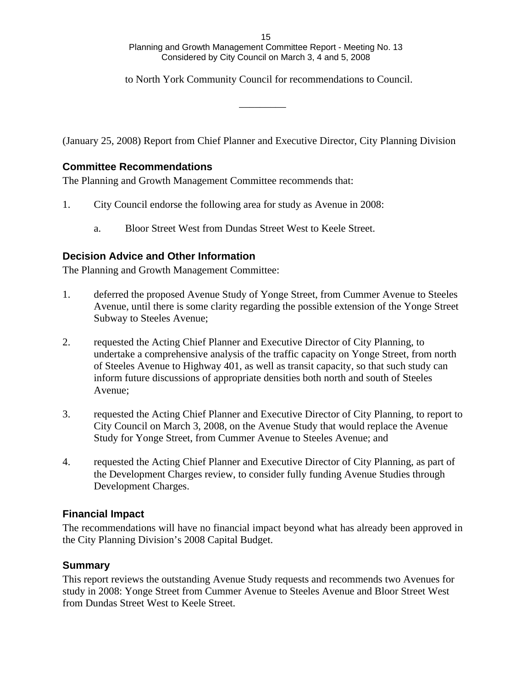#### 15 and the contract of the contract of the contract of the contract of the contract of the contract of the contract of the contract of the contract of the contract of the contract of the contract of the contract of the con Planning and Growth Management Committee Report - Meeting No. 13 Considered by City Council on March 3, 4 and 5, 2008

to North York Community Council for recommendations to Council.

 $\frac{1}{2}$  , and the contract of the contract of the contract of the contract of the contract of the contract of

(January 25, 2008) Report from Chief Planner and Executive Director, City Planning Division

### **Committee Recommendations**

The Planning and Growth Management Committee recommends that:

- 1. City Council endorse the following area for study as Avenue in 2008:
	- a. Bloor Street West from Dundas Street West to Keele Street.

#### **Decision Advice and Other Information**

The Planning and Growth Management Committee:

- 1. deferred the proposed Avenue Study of Yonge Street, from Cummer Avenue to Steeles Avenue, until there is some clarity regarding the possible extension of the Yonge Street Subway to Steeles Avenue;
- 2. requested the Acting Chief Planner and Executive Director of City Planning, to undertake a comprehensive analysis of the traffic capacity on Yonge Street, from north of Steeles Avenue to Highway 401, as well as transit capacity, so that such study can inform future discussions of appropriate densities both north and south of Steeles Avenue;
- 3. requested the Acting Chief Planner and Executive Director of City Planning, to report to City Council on March 3, 2008, on the Avenue Study that would replace the Avenue Study for Yonge Street, from Cummer Avenue to Steeles Avenue; and
- 4. requested the Acting Chief Planner and Executive Director of City Planning, as part of the Development Charges review, to consider fully funding Avenue Studies through Development Charges.

#### **Financial Impact**

The recommendations will have no financial impact beyond what has already been approved in the City Planning Division's 2008 Capital Budget.

## **Summary**

This report reviews the outstanding Avenue Study requests and recommends two Avenues for study in 2008: Yonge Street from Cummer Avenue to Steeles Avenue and Bloor Street West from Dundas Street West to Keele Street.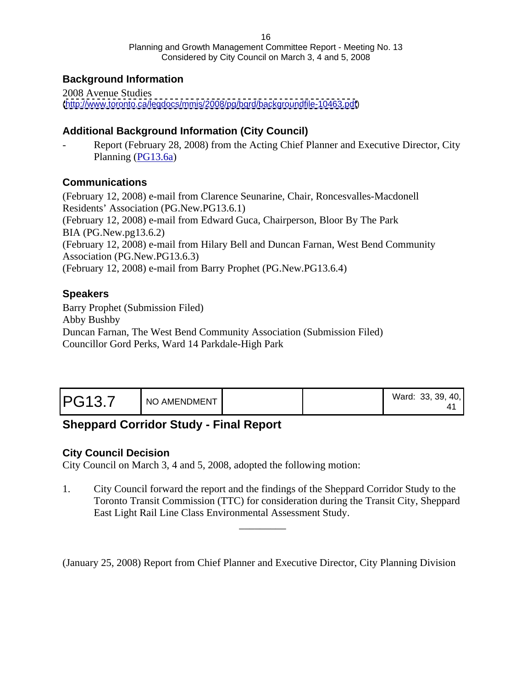# **Background Information**

2008 Avenue Studies [\(http://www.toronto.ca/legdocs/mmis/2008/pg/bgrd/backgroundfile-10463.pdf](http://www.toronto.ca/legdocs/mmis/2008/pg/bgrd/backgroundfile-10463.pdf))

# **Additional Background Information (City Council)**

Report (February 28, 2008) from the Acting Chief Planner and Executive Director, City Planning ([PG13.6a](http://www.toronto.ca/legdocs/mmis/2008/cc/bgrd/pg13.6a.pdf))

## **Communications**

(February 12, 2008) e-mail from Clarence Seunarine, Chair, Roncesvalles-Macdonell Residents' Association (PG.New.PG13.6.1) (February 12, 2008) e-mail from Edward Guca, Chairperson, Bloor By The Park BIA (PG.New.pg13.6.2) (February 12, 2008) e-mail from Hilary Bell and Duncan Farnan, West Bend Community Association (PG.New.PG13.6.3) (February 12, 2008) e-mail from Barry Prophet (PG.New.PG13.6.4)

# **Speakers**

Barry Prophet (Submission Filed) Abby Bushby Duncan Farnan, The West Bend Community Association (Submission Filed) Councillor Gord Perks, Ward 14 Parkdale-High Park

|--|--|--|

# **Sheppard Corridor Study - Final Report**

## **City Council Decision**

City Council on March 3, 4 and 5, 2008, adopted the following motion:

1. City Council forward the report and the findings of the Sheppard Corridor Study to the Toronto Transit Commission (TTC) for consideration during the Transit City, Sheppard East Light Rail Line Class Environmental Assessment Study.

 $\frac{1}{2}$  ,  $\frac{1}{2}$  ,  $\frac{1}{2}$  ,  $\frac{1}{2}$  ,  $\frac{1}{2}$  ,  $\frac{1}{2}$  ,  $\frac{1}{2}$  ,  $\frac{1}{2}$  ,  $\frac{1}{2}$  ,  $\frac{1}{2}$  ,  $\frac{1}{2}$  ,  $\frac{1}{2}$  ,  $\frac{1}{2}$  ,  $\frac{1}{2}$  ,  $\frac{1}{2}$  ,  $\frac{1}{2}$  ,  $\frac{1}{2}$  ,  $\frac{1}{2}$  ,  $\frac{1$ 

(January 25, 2008) Report from Chief Planner and Executive Director, City Planning Division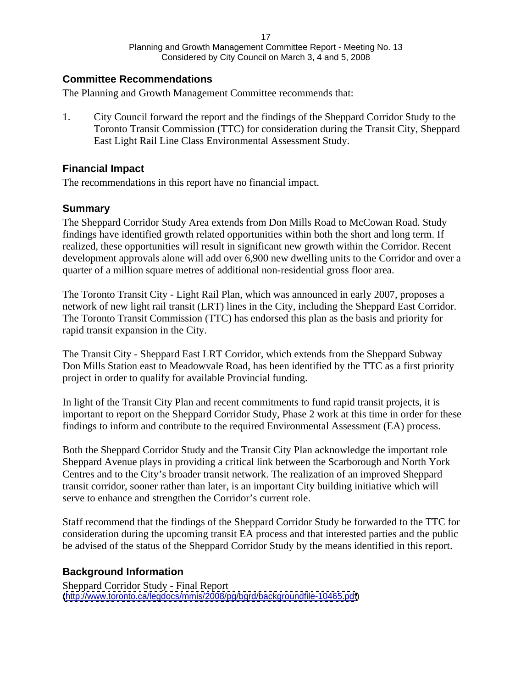#### **Committee Recommendations**

The Planning and Growth Management Committee recommends that:

1. City Council forward the report and the findings of the Sheppard Corridor Study to the Toronto Transit Commission (TTC) for consideration during the Transit City, Sheppard East Light Rail Line Class Environmental Assessment Study.

#### **Financial Impact**

The recommendations in this report have no financial impact.

## **Summary**

The Sheppard Corridor Study Area extends from Don Mills Road to McCowan Road. Study findings have identified growth related opportunities within both the short and long term. If realized, these opportunities will result in significant new growth within the Corridor. Recent development approvals alone will add over 6,900 new dwelling units to the Corridor and over a quarter of a million square metres of additional non-residential gross floor area.

The Toronto Transit City - Light Rail Plan, which was announced in early 2007, proposes a network of new light rail transit (LRT) lines in the City, including the Sheppard East Corridor. The Toronto Transit Commission (TTC) has endorsed this plan as the basis and priority for rapid transit expansion in the City.

The Transit City - Sheppard East LRT Corridor, which extends from the Sheppard Subway Don Mills Station east to Meadowvale Road, has been identified by the TTC as a first priority project in order to qualify for available Provincial funding.

In light of the Transit City Plan and recent commitments to fund rapid transit projects, it is important to report on the Sheppard Corridor Study, Phase 2 work at this time in order for these findings to inform and contribute to the required Environmental Assessment (EA) process.

Both the Sheppard Corridor Study and the Transit City Plan acknowledge the important role Sheppard Avenue plays in providing a critical link between the Scarborough and North York Centres and to the City's broader transit network. The realization of an improved Sheppard transit corridor, sooner rather than later, is an important City building initiative which will serve to enhance and strengthen the Corridor's current role.

Staff recommend that the findings of the Sheppard Corridor Study be forwarded to the TTC for consideration during the upcoming transit EA process and that interested parties and the public be advised of the status of the Sheppard Corridor Study by the means identified in this report.

## **Background Information**

Sheppard Corridor Study - Final Report [\(http://www.toronto.ca/legdocs/mmis/2008/pg/bgrd/backgroundfile-10465.pdf](http://www.toronto.ca/legdocs/mmis/2008/pg/bgrd/backgroundfile-10465.pdf))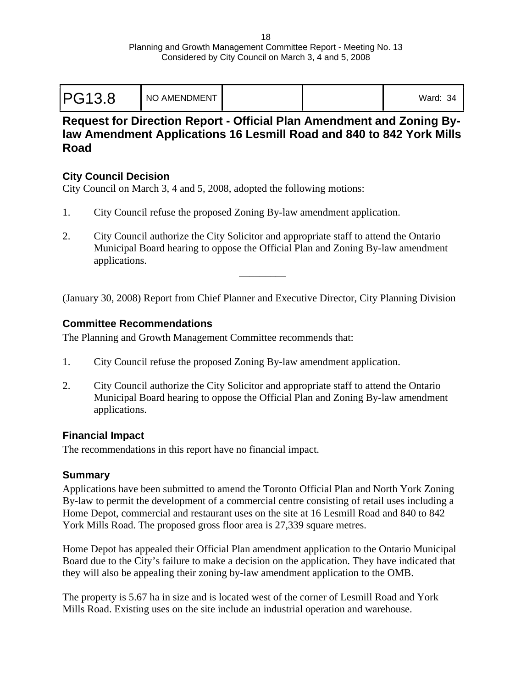| <b>PG13.8</b> | I NO AMENDMENT | Ward:<br>ີດ 4 |  |
|---------------|----------------|---------------|--|
|---------------|----------------|---------------|--|

# **Request for Direction Report - Official Plan Amendment and Zoning Bylaw Amendment Applications 16 Lesmill Road and 840 to 842 York Mills Road**

## **City Council Decision**

City Council on March 3, 4 and 5, 2008, adopted the following motions:

- 1. City Council refuse the proposed Zoning By-law amendment application.
- 2. City Council authorize the City Solicitor and appropriate staff to attend the Ontario Municipal Board hearing to oppose the Official Plan and Zoning By-law amendment applications.

(January 30, 2008) Report from Chief Planner and Executive Director, City Planning Division

 $\frac{1}{2}$  , and the contract of the contract of the contract of the contract of the contract of the contract of

## **Committee Recommendations**

The Planning and Growth Management Committee recommends that:

- 1. City Council refuse the proposed Zoning By-law amendment application.
- 2. City Council authorize the City Solicitor and appropriate staff to attend the Ontario Municipal Board hearing to oppose the Official Plan and Zoning By-law amendment applications.

## **Financial Impact**

The recommendations in this report have no financial impact.

## **Summary**

Applications have been submitted to amend the Toronto Official Plan and North York Zoning By-law to permit the development of a commercial centre consisting of retail uses including a Home Depot, commercial and restaurant uses on the site at 16 Lesmill Road and 840 to 842 York Mills Road. The proposed gross floor area is 27,339 square metres.

Home Depot has appealed their Official Plan amendment application to the Ontario Municipal Board due to the City's failure to make a decision on the application. They have indicated that they will also be appealing their zoning by-law amendment application to the OMB.

The property is 5.67 ha in size and is located west of the corner of Lesmill Road and York Mills Road. Existing uses on the site include an industrial operation and warehouse.